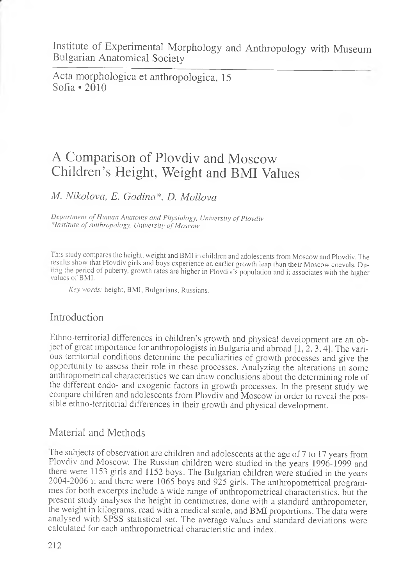Acta morphologica et anthropologica, 15 Sofia \*2010

# A Comparison of Plovdiv and Moscow Children's Height, Weight and BMI Values

## *M. Nikolova, E. Godina\*, D. Mollova*

*Department of Human Anatomy and Physiology, University of Plovdiv institute of Anthropology, University of Moscow*

This study compares the height, weight and BMI in children and adolescents from Moscow and Plovdiv. The tesults show that Plovdiv girls and boys experience an earlier growth leap than their Moscow coevals. During the period of puberty, growth rates are higher in Plovdiv's population and it associates with the higher values of BMI.

*Key words:* height, BMI, Bulgarians, Russians.

### Introduction

Ethno-territorial differences in children's growth and physical development are an object of great importance for anthropologists in Bulgaria and abroad [1, 2, 3, 4]. The various territorial conditions determine the peculiarities of growth processes and give the opportunity to assess their role in these processes. Analyzing the alterations in some anthropometrical characteristics we can draw conclusions about the determining role of the different endo- and exogenic factors in growth processes. In the present study we compare children and adolescents from Plovdiv and Moscow in order to reveal the possible ethno-territorial differences in their growth and physical development.

### Material and Methods

The subjects of observation are children and adolescents at the age of 7 to 17 years from Plovdiv and Moscow. The Russian children were studied in the years 1996-1999 and there were 1153 girls and 1152 boys. The Bulgarian children were studied in the years 2004-2006 r. and there were 1065 boys and 925 girls. The anthropometrical programmes for both excerpts include a wide range of anthropometrical characteristics, but the present study analyses the height in centimetres, done with a standard anthropometer, the weight in kilograms, read with a medical scale, and BMI proportions. The data were analysed with SPSS statistical set. The average values and standard deviations were calculated for each anthropometrical characteristic and index.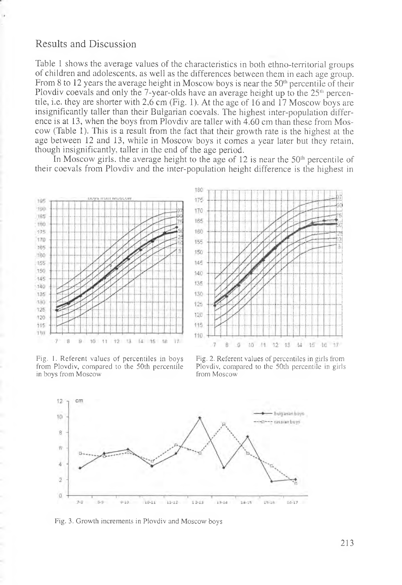#### Results and Discussion

Table 1 shows the average values of the characteristics in both ethno-territorial groups of children and adolescents, as well as the differences between them in each age group. From 8 to 12 years the average height in Moscow boys is near the  $50<sup>th</sup>$  percentile of their Plovdiv coevals and only the 7-year-olds have an average height up to the  $25<sup>th</sup>$  percentile, i.e. they are shorter with 2,6 cm (Fig. 1). At the age of 16 and 17 Moscow boys are insignificantly taller than their Bulgarian coevals. The highest inter-population difference is at 13, when the boys from Plovdiv are taller with 4.60 cm than these from Moscow (Table 1). This is a result from the fact that their growth rate is the highest at the age between 12 and 13, while in Moscow boys it comes a year later but they retain, though insignificantly, taller in the end of the age period.

In Moscow girls, the average height to the age of 12 is near the  $50<sup>th</sup>$  percentile of their coevals from Plovdiv and the inter-population height difference is the highest in



Fig. 1. Referent values of percentiles in boys from Plovdiv, compared to the 50th percentile in boys from Moscow

Fig. 2. Referent values of percentiles in girls from Plovdiv, compared to the 50th percentile in girls from Moscow



Fig. 3. Growth increments in Plovdiv and Moscow boys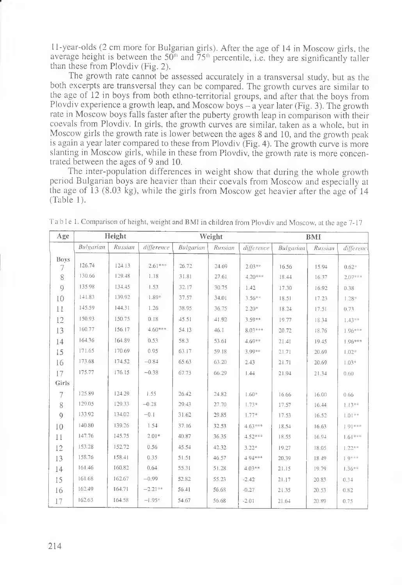11-year-olds (2 cm more for Bulgarian girls). After the age of 14 in Moscow girls, the average height is between the  $50<sup>th</sup>$  and  $75<sup>th</sup>$  percentile, i.e. they are significantly taller than these from Plovdiv (Fig. 2).

The growth rate cannot be assessed accurately in a transversal study, but as the both excerpts are transversal they can be compared. The growth curves are similar to the age of 12 in boys from both ethno-territorial groups, and after that the boys from Plovdiv experience a growth leap, and Moscow boys  $-\hat{a}$  year later (Fig. 3). The growth rate in Moscow boys falls faster after the puberty growth leap in comparison with their coevals from Plovdiv. In girls, the growth curves are similar, taken as a whole, but in Moscow girls the growth rate is lower between the ages 8 and 10, and the growth peak is again a year later compared to these from Plovdiv (Fig. 4). The growth curve is more slanting in Moscow girls, while in these from Plovdiv, the growth rate is more concentrated between the ages of 9 and 10.

The inter-population differences in weight show that during the whole growth period Bulgarian boys are heavier than their coevals from Moscow and especially at the age of 13 (8.03 kg), while the girls from Moscow get heavier after the age of 14 (Table 1).

| Age       | Height    |         | Weight     |           |         |            | <b>BMI</b> |         |           |
|-----------|-----------|---------|------------|-----------|---------|------------|------------|---------|-----------|
|           | Bulgarian | Russian | difference | Bulgarian | Russian | difference | Bulgarian  | Russian | differenc |
| Boys<br>7 | 126.74    | 124.13  | $2.61***$  | 26.72     | 24.69   | $2.03***$  | 16.56      | 15.94   | $0.62*$   |
| 8         | 130.66    | 129.48  | 1.18       | 31.81     | 27.61   | $4.20***$  | 18.44      | 16.37   | $2.07***$ |
| $\circ$   | 135.98    | 134.45  | 1.53       | 32.17     | 30.75   | 1.42       | 17.30      | 16.92   | 0.38      |
| 10        | 141.83    | 139.92  | 1.89*      | 37.57     | 34.01   | $3.56***$  | 18.51      | 17.23   | $1.28*$   |
| 11        | 145.59    | 144.31  | 1.26       | 38.95     | 36.75   | $2.20*$    | 18.24      | 17.51   | 0.73      |
| 12        | 150.93    | 150.75  | 0.18       | 45.51     | 41.92   | $3.50**$   | 19.77      | 18.34   | $1.43**$  |
| 13        | 160.77    | 156.17  | $4.60***$  | 54.13     | 46.1    | $8.03***$  | 20.72      | 18.76   | 1.96***   |
| 14        | 164.36    | 164.89  | 0.53       | 58.3      | 53.61   | $4.69**$   | 21.41      | 19.45   | 1.96***   |
| 15        | 171.65    | 170.69  | 0.95       | 63.17     | 59.18   | 3.99**     | 21.71      | 20.69   | $1.02*$   |
| 16        | 173.68    | 174.52  | $-0.84$    | 65.63     | 63.20   | 2.43       | 21.71      | 20.69   | $1.03*$   |
| 17        | 175.77    | 176.15  | $-0.38$    | 67.73     | 66.29   | 1.44       | 21.94      | 21.34   | 0.60      |
| Girls     |           |         |            |           |         |            |            |         |           |
| 7         | 125.89    | 124.29  | 1.55       | 26.42     | 24.82   | $1.60*$    | 16.66      | 16.00   | 0.66      |
| 8         | 129.05    | 129.33  | $-0.28$    | 29.43     | 27.70   | $1.73*$    | 17.57      | 16.44   | $1.13**$  |
| $\circ$   | 133.92    | 134.02  | $-0.1$     | 31.62     | 29.85   | $1.77*$    | 17.53      | 16.52   | $1.01**$  |
| 10        | 140.80    | 139.26  | 1.54       | 37.16     | 32.53   | $4.63***$  | 18.54      | 16.63   | $101***$  |
| 11        | 147.76    | 145.75  | $2.01*$    | 40.87     | 36.35   | $4.52***$  | 18.55      | 16.94   | $1.61***$ |
| 12        | 153.28    | 152.72  | 0.56       | 45.54     | 42.32   | $3.22*$    | 19.27      | 18.05   | $1.22**$  |
| 13        | 158.76    | 158.41  | 0.35       | 51.51     | 46.57   | 494***     | 20.39      | 18.49   | $1.9***$  |
| 14        | 161.46    | 160.82  | 0.64       | 55.31     | 51.28   | $4.03**$   | 21.15      | 19.79   | $1.36***$ |
| 15        | 161.68    | 162.67  | $-0.99$    | 52.82     | 55.23   | $-2.42$    | 21.17      | 20.83   | 0.34      |
| 16        | 162.49    | 164.71  | $-2.21**$  | 56.41     | 56.68   | $-0.27$    | 21.35      | 20.53   | 0.82      |
| 17        | 162.63    | 164.58  | $-1.95*$   | 54.67     | 56.68   | $-2.01$    | 21.64      | 20.89   | 0.75      |

Table 1. Comparison of height, weight and BM1 in children from Plovdiv and Moscow, at the age 7-17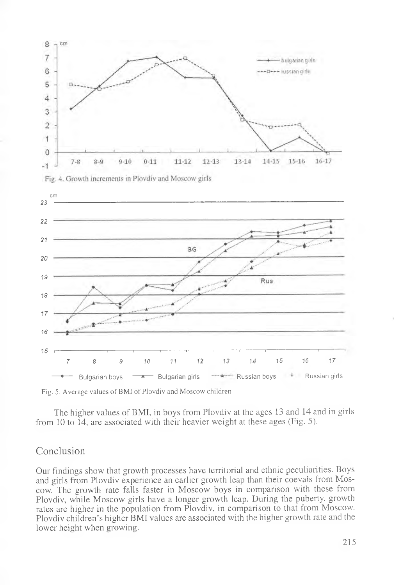

Fig. 5. Average values of BMI of Plovdiv and Moscow children

The higher values of BMI, in boys from Plovdiv at the ages 13 and 14 and in girls from 10 to  $14$ , are associated with their heavier weight at these ages (Fig. 5).

#### Conclusion

Our findings show that growth processes have territorial and ethnic peculiarities. Boys and girls from Plovdiv experience an earlier growth leap than their coevals from Moscow. The growth rate falls faster in Moscow boys in comparison with these from Plovdiv, while Moscow girls have a longer growth leap. During the puberty, growth rates are higher in the population from Plovdiv, in comparison to that from Moscow. Plovdiv children's higher BMI values are associated with the higher growth rate and the lower height when growing.